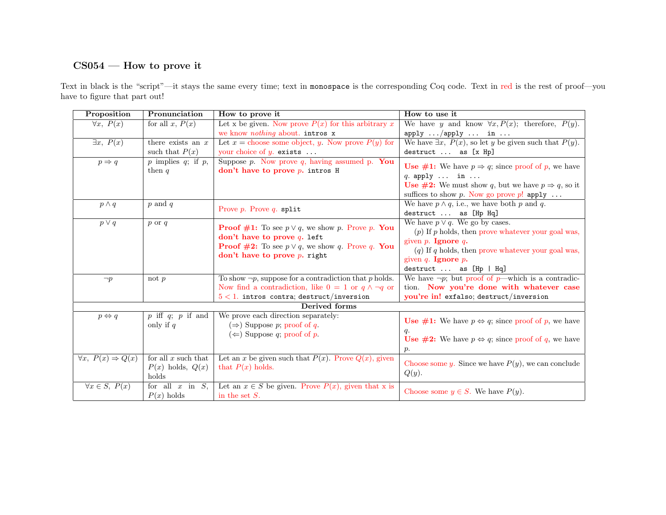## CS054 — How to prove it

Text in black is the "script"—it stays the same every time; text in monospace is the corresponding Coq code. Text in red is the rest of proof—you have to figure that part out!

| Proposition                        | Pronunciation                                  | How to prove it                                                | How to use it                                                                                                     |  |
|------------------------------------|------------------------------------------------|----------------------------------------------------------------|-------------------------------------------------------------------------------------------------------------------|--|
| $\forall x, P(x)$                  | for all x, $P(x)$                              | Let x be given. Now prove $P(x)$ for this arbitrary x          | We have y and know $\forall x, P(x)$ ; therefore, $P(y)$ .                                                        |  |
|                                    |                                                | we know <i>nothing</i> about. intros x                         | apply $\ldots$ /apply $\ldots$ in $\ldots$                                                                        |  |
| $\exists x, P(x)$                  | there exists an $x$                            | Let $x =$ choose some object, y. Now prove $P(y)$ for          | We have $\exists x, P(x)$ , so let y be given such that $P(y)$ .                                                  |  |
|                                    | such that $P(x)$                               | your choice of $y$ . exists                                    | destruct  as [x Hp]                                                                                               |  |
| $p \Rightarrow q$                  | $p$ implies $q$ ; if $p$ ,                     | Suppose $p$ . Now prove $q$ , having assumed $p$ . You         | <b>Use #1:</b> We have $p \Rightarrow q$ ; since proof of p, we have                                              |  |
|                                    | then $q$                                       | don't have to prove $p$ , intros H                             |                                                                                                                   |  |
|                                    |                                                |                                                                | $q.$ apply $\ldots$ in $\ldots$                                                                                   |  |
|                                    |                                                |                                                                | <b>Use #2:</b> We must show q, but we have $p \Rightarrow q$ , so it<br>suffices to show p. Now go prove p! apply |  |
|                                    |                                                |                                                                | We have $p \wedge q$ , i.e., we have both p and q.                                                                |  |
| $p \wedge q$                       | $p$ and $q$                                    | Prove $p$ . Prove $q$ . split                                  | destruct  as [Hp Hq]                                                                                              |  |
|                                    |                                                |                                                                | We have $p \vee q$ . We go by cases.                                                                              |  |
| $p \vee q$                         | $p \text{ or } q$                              | <b>Proof #1:</b> To see $p \lor q$ , we show p. Prove p. You   | $(p)$ If p holds, then prove whatever your goal was,                                                              |  |
|                                    |                                                | don't have to prove $q$ . left                                 | given $p$ . Ignore $q$ .                                                                                          |  |
|                                    |                                                | <b>Proof #2:</b> To see $p \vee q$ , we show q. Prove q. You   | $(q)$ If q holds, then prove whatever your goal was,                                                              |  |
|                                    |                                                | don't have to prove $p$ . right                                | given $q$ . Ignore $p$ .                                                                                          |  |
|                                    |                                                |                                                                | destruct  as [Hp   Hq]                                                                                            |  |
| $\neg p$                           | not $p$                                        | To show $\neg p$ , suppose for a contradiction that p holds.   | We have $\neg p$ ; but proof of p—which is a contradic-                                                           |  |
|                                    |                                                | Now find a contradiction, like $0 = 1$ or $q \wedge \neg q$ or | tion. Now you're done with whatever case                                                                          |  |
|                                    |                                                | $5 < 1$ . intros contra; destruct/inversion                    | you're in! exfalso; destruct/inversion                                                                            |  |
| Derived forms                      |                                                |                                                                |                                                                                                                   |  |
| $p \Leftrightarrow q$              | $\overline{p}$ iff $q$ ; $\overline{p}$ if and | We prove each direction separately:                            |                                                                                                                   |  |
|                                    | only if $q$                                    | $(\Rightarrow)$ Suppose p; proof of q.                         | <b>Use #1:</b> We have $p \Leftrightarrow q$ ; since proof of p, we have                                          |  |
|                                    |                                                | $(\Leftarrow)$ Suppose q; proof of p.                          | q.                                                                                                                |  |
|                                    |                                                |                                                                | <b>Use #2:</b> We have $p \Leftrightarrow q$ ; since proof of q, we have                                          |  |
|                                    |                                                |                                                                | $p$ .                                                                                                             |  |
| $\forall x, P(x) \Rightarrow Q(x)$ | for all $x$ such that                          | Let an x be given such that $P(x)$ . Prove $Q(x)$ , given      | Choose some y. Since we have $P(y)$ , we can conclude                                                             |  |
|                                    | $P(x)$ holds, $Q(x)$                           | that $P(x)$ holds.                                             | $Q(y)$ .                                                                                                          |  |
|                                    | holds                                          |                                                                |                                                                                                                   |  |
| $\forall x \in S, P(x)$            | for all $x$ in $S$ .                           | Let an $x \in S$ be given. Prove $P(x)$ , given that x is      | Choose some $y \in S$ . We have $P(y)$ .                                                                          |  |
|                                    | $P(x)$ holds                                   | in the set $S$ .                                               |                                                                                                                   |  |